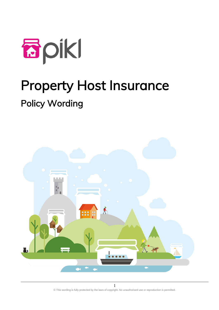

# Property Host Insurance Policy Wording



© This wording is fully protected by the laws of copyright. No unauthorised use or reproduction is permitted.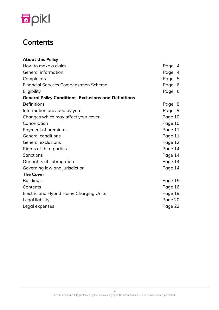

# **Contents**

| <b>About this Policy</b>                                     |         |                |
|--------------------------------------------------------------|---------|----------------|
| How to make a claim                                          | Page    | $\overline{4}$ |
| General information                                          | Page    | $\overline{4}$ |
| Complaints                                                   | Page 5  |                |
| <b>Financial Services Compensation Scheme</b>                | Page    | - 6            |
| Eligibility                                                  | Page 6  |                |
| <b>General Policy Conditions, Exclusions and Definitions</b> |         |                |
| Definitions                                                  | Page 8  |                |
| Information provided by you                                  | Page 9  |                |
| Changes which may affect your cover                          | Page 10 |                |
| Cancellation                                                 | Page 10 |                |
| Payment of premiums                                          | Page 11 |                |
| <b>General conditions</b>                                    | Page 11 |                |
| General exclusions                                           | Page 12 |                |
| Rights of third parties                                      | Page 14 |                |
| Sanctions                                                    | Page 14 |                |
| Our rights of subrogation                                    | Page 14 |                |
| Governing law and jurisdiction                               | Page 14 |                |
| <b>The Cover</b>                                             |         |                |
| <b>Buildings</b>                                             | Page 15 |                |
| Contents                                                     | Page 16 |                |
| Electric and Hybrid Home Charging Units                      | Page 19 |                |
| Legal liability                                              | Page 20 |                |
| Legal expenses                                               | Page 22 |                |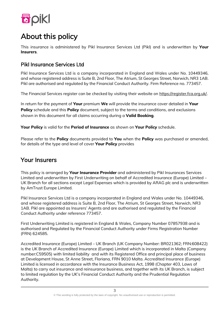

# About this policy

This insurance is administered by Pikl Insurance Services Ltd (Pikl) and is underwritten by **Your Insurers**.

# Pikl Insurance Services Ltd

Pikl Insurance Services Ltd is a company incorporated in England and Wales under No. 10449346, and whose registered address is Suite B, 2nd Floor, The Atrium, St Georges Street, Norwich, NR3 1AB. Pikl are authorised and regulated by the Financial Conduct Authority. Firm Reference no. 773457.

The Financial Services register can be checked by visiting their website on [https://register.fca.org.uk/.](https://register.fca.org.uk/)

In return for the payment of **Your** premium **We** will provide the insurance cover detailed in **Your Policy** schedule and this **Policy** document, subject to the terms and conditions, and exclusions shown in this document for all claims occurring during a **Valid Booking**.

**Your Policy** is valid for the **Period of Insurance** as shown on **Your Policy** schedule.

Please refer to the **Policy** documents provided to **You** when the **Policy** was purchased or amended, for details of the type and level of cover **Your Policy** provides

# Your Insurers

This policy is arranged by **Your Insurance Provider** and administered by Pikl Insurances Services Limited and underwritten by First Underwriting on behalf of Accredited Insurance (Europe) Limited – UK Branch for all sections except Legal Expenses which is provided by ARAG plc and is underwritten by AmTrust Europe Limited.

Pikl Insurance Services Ltd is a company incorporated in England and Wales under No. 10449346, and whose registered address is Suite B, 2nd Floor, The Atrium, St Georges Street, Norwich, NR3 1AB. Pikl are appointed as Insurers' Agents and are authorised and regulated by the Financial Conduct Authority under reference 773457.

First Underwriting Limited is registered in England & Wales, Company Number 07857938 and is authorised and Regulated by the Financial Conduct Authority under Firms Registration Number (FRN) 624585.

Accredited Insurance (Europe) Limited – UK Branch (UK Company Number: BR021362; FRN:608422) is the UK Branch of Accredited Insurance (Europe) Limited which is incorporated in Malta (Company number:C59505) with limited liability and with its Registered Office and principal place of business at Development House, St Anne Street, Floriana, FRN 9010 Malta. Accredited Insurance (Europe) Limited is licensed in accordance with the Insurance Business Act, 1998 (Chapter 403, Laws of Malta) to carry out insurance and reinsurance business, and together with its UK Branch, is subject to limited regulation by the UK's Financial Conduct Authority and the Prudential Regulation Authority.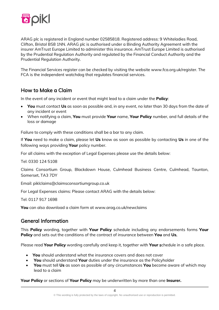

ARAG plc is registered in England number 02585818. Registered address: 9 Whiteladies Road, Clifton, Bristol BS8 1NN. ARAG plc is authorised under a Binding Authority Agreement with the insurer AmTrust Europe Limited to administer this insurance. AmTrust Europe Limited is authorised by the Prudential Regulation Authority and regulated by the Financial Conduct Authority and the Prudential Regulation Authority.

The Financial Services register can be checked by visiting the website www.fca.org.uk/register. The FCA is the independent watchdog that regulates financial services.

# How to Make a Claim

In the event of any incident or event that might lead to a claim under the **Policy**:

- **You** must contact **Us** as soon as possible and, in any event, no later than 30 days from the date of any incident or event
- When notifying a claim, **You** must provide **Your** name, **Your Policy** number, and full details of the loss or damage

Failure to comply with these conditions shall be a bar to any claim.

If **You** need to make a claim, please let **Us** know as soon as possible by contacting **Us** in one of the following ways providing **Your** policy number.

For all claims with the exception of Legal Expenses please use the details below:

Tel: 0330 124 5108

Claims Consortium Group, Blackdown House, Culmhead Business Centre, Culmhead, Taunton, Somerset, TA3 7DY

Email: piklclaims@claimsconsortiumgroup.co.uk

For Legal Expenses claims: Please contact ARAG with the details below:

Tel: 0117 917 1698

**You** can also download a claim form at www.arag.co.uk/newclaims

### General Information

This **Policy** wording, together with **Your Policy** schedule including any endorsements forms **Your Policy** and sets out the conditions of the contract of insurance between **You** and **Us**.

Please read **Your Policy** wording carefully and keep it, together with **Your** schedule in a safe place.

- **You** should understand what the insurance covers and does not cover
- **You** should understand **Your** duties under the insurance as the Policyholder
- **You** must tell **Us** as soon as possible of any circumstances **You** become aware of which may lead to a claim

**Your Policy** or sections of **Your Policy** may be underwritten by more than one **Insurer.**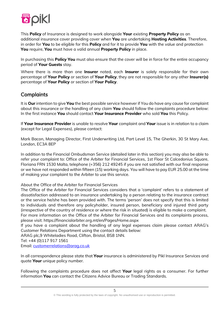

This **Policy** of Insurance is designed to work alongside **Your** existing **Property Policy** as an additional insurance cover providing cover when **You** are undertaking **Hosting Activities**. Therefore, in order for **You** to be eligible for this **Policy** and for it to provide **You** with the value and protection **You** require, **You** must have a valid annual **Property Policy** in place.

In purchasing this **Policy You** must also ensure that the cover will be in force for the entire occupancy period of **Your Guests** stay.

Where there is more than one **Insurer** noted, each **Insurer** is solely responsible for their own percentage of **Your Policy** or section of **Your Policy**, they are not responsible for any other **Insurer(s)** percentage of **Your Policy** or section of **Your Policy**.

### **Complaints**

It is **Our** intention to give **You** the best possible service however if You do have any cause for complaint about this insurance or the handling of any claim **You** should follow the complaints procedure below: In the first instance **You** should contact **Your Insurance Provider** who sold **You** this Policy.

If **Your Insurance Provider** is unable to resolve **Your** complaint and **Your** issue is in relation to a claim (except for Legal Expenses), please contact:

Mark Bacon, Managing Director, First Underwriting Ltd, Part Level 15, The Gherkin, 30 St Mary Axe, London, EC3A 8EP

In addition to the Financial Ombudsman Service (detailed later in this section) you may also be able to refer your complaint to: Office of the Arbiter for Financial Services, 1st Floor St Calcedonius Square, Floriana FRN 1530 Malta, telephone (+356) 212 49245 if you are not satisfied with our final response or we have not responded within fifteen (15) working days. You will have to pay EUR 25.00 at the time of making your complaint to the Arbiter to use this service.

About the Office of the Arbiter for Financial Services

The Office of the Arbiter for Financial Services considers that a 'complaint' refers to a statement of dissatisfaction addressed to an insurance undertaking by a person relating to the insurance contract or the service he/she has been provided with. The terms 'person' does not specify that this is limited to individuals and therefore any policyholder, insured person, beneficiary and injured third party (irrespective of the country of residence or where the risk in situated) is eligible to make a complaint. For more information on the Office of the Arbiter for Financial Services and its complaints process,

please visit: https://financialarbiter.org.mt/en/Pages/Home.aspx

If you have a complaint about the handling of any legal expenses claim please contact ARAG's Customer Relations Department using the contact details below:

ARAG plc,9 Whiteladies Road, Clifton, Bristol, BS8 1NN.

Tel: +44 (0)117 917 1561

Email: [customerrelations@arag.co.uk](mailto:customerrelations@arag.co.uk)

In all correspondence please state that **Your** insurance is administered by Pikl Insurance Services and quote **Your** unique policy number.

Following the complaints procedure does not affect **Your** legal rights as a consumer. For further information **You** can contact the Citizens Advice Bureau or Trading Standards.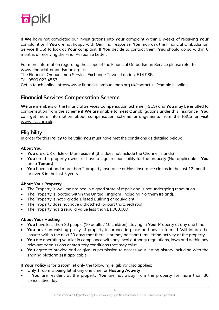

If **We** have not completed our investigations into **Your** complaint within 8 weeks of receiving **Your** complaint or if **You** are not happy with **Our** final response, **You** may ask the Financial Ombudsman Service (FOS) to look at **Your** complaint. If **You** decide to contact them, **You** should do so within 6 months of receiving the Final Response Letter.

For more information regarding the scope of the Financial Ombudsman Service please refer to: www.financial-ombudsman.org.uk

The Financial Ombudsman Service, Exchange Tower, London, E14 9SR

Tel: 0800 023 4567

Get in touch online: https://www.financial-ombudsman.org.uk/contact-us/complain-online

## Financial Services Compensation Scheme

**We** are members of the Financial Services Compensation Scheme (FSCS) and **You** may be entitled to compensation from the scheme if **We** are unable to meet **Our** obligations under this insurance. **You** can get more information about compensation scheme arrangements from the FSCS or visit [www.fscs.org.uk.](http://www.fscs.org.uk/)

## **Eligibility**

In order for this **Policy** to be valid **You** must have met the conditions as detailed below:

#### **About You**

- **You** are a UK or Isle of Man resident (this does not include the Channel Islands)
- **You** are the property owner or have a legal responsibility for the property (Not applicable if **You** are a **Tenant**)
- **You** have not had more than 2 property insurance or Host insurance claims in the last 12 months or over 3 in the last 5 years

#### **About Your Property**

- The Property is well maintained in a good state of repair and is not undergoing renovation
- The Property is located within the United Kingdom (including Northern Ireland),
- The Property is not a grade 1 listed Building or equivalent
- The Property does not have a thatched (or part thatched) roof
- The Property has a rebuild value less than £1,000,000

#### **About Your Hosting**

- **You** have less than 20 people (10 adults / 10 children) staying in **Your** Property at any one time
- **You** have an existing policy of property insurance in place and have informed /will inform the insurer within the next 30 days that there is or may be short term letting activity at the property.
- **You** are operating your let in compliance with any local authority regulations, laws and within any relevant permissions or statutory conditions that may exist
- **You** agree to provide and or give us permission to access your letting history including with the sharing platform(s) if applicable

If **Your Policy** is for a room let only the following eligibility also applies:

- Only 1 room is being let at any one time for **Hosting Activity**
- If **You** are resident at the property **You** are not away from the property for more than 30 consecutive days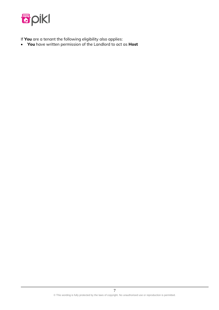

If **You** are a tenant the following eligibility also applies:

• **You** have written permission of the Landlord to act as **Host**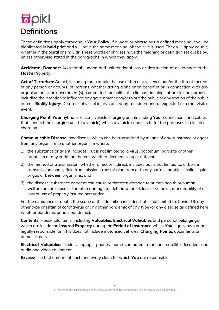

These definitions apply throughout **Your Policy**. If a word or phrase has a defined meaning it will be highlighted in **bold** print and will have the same meaning wherever it is used. They will apply equally whether in the plural or singular. These words or phrases have the meaning or definition set out below unless otherwise stated in the paragraphs in which they apply.

**Accidental Damage**: Accidental sudden and unintentional loss or destruction of or damage to the **Host's** Property.

**Act of Terrorism**: An act, including for example the use of force or violence and/or the threat thereof, of any person or group(s) of persons whether acting alone or on behalf of or in connection with any organisation(s) or government(s), committed for political, religious, ideological or similar purposes including the intention to influence any government and/or to put the public or any section of the public in fear. **Bodily Injury**: Death or physical injury caused by a sudden and unexpected external visible event.

**Charging Point**: **Your** hybrid or electric vehicle charging unit (including **Your** connections and cables that connect the charging unit to a vehicle) which a vehicle connects to for the purposes of electrical charging.

**Communicable Disease**: any disease which can be transmitted by means of any substance or agent from any organism to another organism where:

- 1) the substance or agent includes, but is not limited to, a virus, bacterium, parasite or other organism or any variation thereof, whether deemed living or not, and
- 2) the method of transmission, whether direct or indirect, includes but is not limited to, airborne transmission, bodily fluid transmission, transmission from or to any surface or object, solid, liquid or gas or between organisms, and
- 3) the disease, substance or agent can cause or threaten damage to human health or human welfare or can cause or threaten damage to, deterioration of, loss of value of, marketability of or loss of use of property insured hereunder,

For the avoidance of doubt, the scope of this definition includes, but is not limited to, Covid-19, any other type or strain of coronavirus or any other pandemic of any type (or any disease as defined here whether pandemic or non-pandemic).

**Contents**: Household items, including **Valuables**, **Electrical Valuables** and personal belongings, which are inside the **Insured Property** during the **Period of Insurance** which **You** legally own or are legally responsible for. This does not include motorised vehicles, **Charging Points**, documents or domestic pets.

**Electrical Valuables**: Tablets, laptops, phones, home computers, monitors, satellite decoders and audio and video equipment.

**Excess**: The first amount of each and every claim for which **You** are responsible

8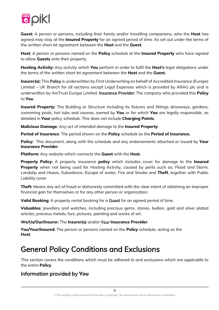

**Guest**: A person or persons, including their family and/or travelling companions, who the **Host** has agreed may stay at the **Insured Property** for an agreed period of time. As set out under the terms of the written short let agreement between the **Host** and the **Guest**.

**Host**: A person or persons named on the **Policy** schedule at the **Insured Property** who have agreed to allow **Guests** onto their property.

**Hosting Activity**: Any activity which **You** perform in order to fulfil the **Host's** legal obligations under the terms of the written short let agreement between the **Host** and the **Guest.**

**Insurer(s)**: This Policy is underwritten by First Underwriting on behalf of Accredited Insurance (Europe) Limited – UK Branch for all sections except Legal Expenses which is provided by ARAG plc and is underwritten by AmTrust Europe Limited. Insurance Provider: The company who provided this **Policy** to **You**.

**Insured Property:** The Building or Structure including its fixtures and fittings driveways, gardens, swimming pools, hot tubs and saunas, owned by **You** or for which **You** are legally responsible, as detailed in **Your** policy schedule. This does not include **Charging Points**.

**Malicious Damage**: Any act of intended damage to the **Insured Property**.

**Period of Insurance**: The period shown on the **Policy** schedule as the **Period of Insurance.**

**Policy**: This document, along with the schedule and any endorsements attached or issued by **Your Insurance Provider**.

**Platform**: Any website which connects the **Guest** with the **Host.**

**Property Policy**: A property insurance **policy** which includes cover for damage to the **Insured Property** when not being used for Hosting Activity, caused by perils such as; Flood and Storm, Landslip and Heave, Subsidence, Escape of water, Fire and Smoke and **Theft**, together with Public Liability cover

**Theft**: Means any act of fraud or dishonesty committed with the clear intent of obtaining an improper financial gain for themselves or for any other person or organization.

**Valid Booking**: A property rental booking for a Guest for an agreed period of time.

**Valuables**: Jewellery and watches, including precious gems, stones, bullion, gold and silver plated articles, precious metals, furs, pictures, painting and works of art.

#### **We/Us/Our/Insurer**: The **Insurer(s)** and/or Your **Insurance Provider**.

**You**/**Your**/**Insured**: The person or persons named on the **Policy** schedule, acting as the **Host**.

# General Policy Conditions and Exclusions

This section covers the conditions which must be adhered to and exclusions which are applicable to the entire **Policy**.

# Information provided by **You**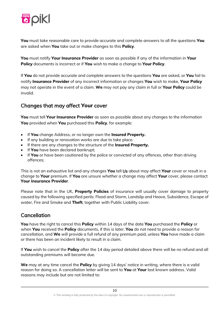

**You** must take reasonable care to provide accurate and complete answers to all the questions **You** are asked when **You** take out or make changes to this **Policy**.

**You** must notify **Your Insurance Provider** as soon as possible if any of the information in **Your Policy** documents is incorrect or if **You** wish to make a change to **Your Policy**.

If **You** do not provide accurate and complete answers to the questions **You** are asked, or **You** fail to notify **Insurance Provider** of any incorrect information or changes **You** wish to make, **Your Policy** may not operate in the event of a claim. **We** may not pay any claim in full or **Your Policy** could be invalid.

# Changes that may affect **Your** cover

**You** must tell **Your Insurance Provider** as soon as possible about any changes to the information **You** provided when **You** purchased this **Policy**, for example:

- If **You** change Address, or no longer own the **Insured Property.**
- If any building or renovation works are due to take place.
- If there are any changes to the structure of the **Insured Property.**
- If **You** have been declared bankrupt;
- If **You** or have been cautioned by the police or convicted of any offences, other than driving offences;

This is not an exhaustive list and any changes **You** tell Us about may affect **Your** cover or result in a change to **Your** premium. If **You** are unsure whether a change may affect **Your** cover, please contact **Your Insurance Provider**.

Please note that in the UK, **Property Policies** of insurance will usually cover damage to property caused by the following specified perils: Flood and Storm, Landslip and Heave, Subsidence, Escape of water, Fire and Smoke and **Theft**, together with Public Liability cover.

### **Cancellation**

**You** have the right to cancel this **Policy** within 14 days of the date **You** purchased the **Policy** or when **You** received the **Policy** documents, if this is later. **You** do not need to provide a reason for cancellation, and **We** will provide a full refund of any premium paid, unless **You** have made a claim or there has been an incident likely to result in a claim.

If **You** wish to cancel the **Policy** after the 14 day period detailed above there will be no refund and all outstanding premiums will become due.

**We** may at any time cancel the **Policy** by giving 14 days' notice in writing, where there is a valid reason for doing so. A cancellation letter will be sent to **You** at **Your** last known address. Valid reasons may include but are not limited to: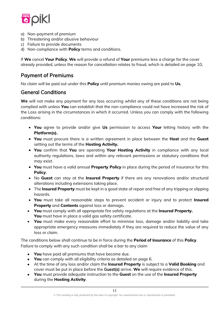

- a) Non-payment of premium
- b) Threatening and/or abusive behaviour
- c) Failure to provide documents
- d) Non-compliance with **Policy** terms and conditions.

If **We** cancel **Your Policy**, **We** will provide a refund of **Your** premiums less a charge for the cover already provided, unless the reason for cancellation relates to fraud, which is detailed on page 10.

# Payment of Premiums

No claim will be paid out under this **Policy** until premium monies owing are paid to **Us**.

## General Conditions

**We** will not make any payment for any loss occurring whilst any of these conditions are not being complied with unless **You** can establish that the non-compliance could not have increased the risk of the Loss arising in the circumstances in which it occurred. Unless you can comply with the following conditions:

- **You** agree to provide and/or give **Us** permission to access **Your** letting history with the **Platform(s).**
- **You** must procure there is a written agreement in place between the **Host** and the **Guest** setting out the terms of the **Hosting Activity.**
- **You** confirm that **You** are operating **Your Hosting Activity** in compliance with any local authority regulations, laws and within any relevant permissions or statutory conditions that may exist.
- **You** must have a valid annual **Property Policy** in place during the period of insurance for this **Policy**.
- No **Guest** can stay at the **Insured Property** if there are any renovations and/or structural alterations including extensions taking place.
- The **Insured Property** must be kept in a good state of repair and free of any tripping or slipping hazards.
- **You** must take all reasonable steps to prevent accident or injury and to protect **Insured Property** and **Contents** against loss or damage**.**
- **You** must comply with all appropriate fire safety regulations at the **Insured Property. You** must have in place a valid gas safety certificate.
- **You** must make every reasonable effort to minimise loss, damage and/or liability and take appropriate emergency measures immediately if they are required to reduce the value of any loss or claim.

The conditions below shall continue to be in force during the **Period of Insurance** of this **Policy**. Failure to comply with any such condition shall be a bar to any claim

- **You** have paid all premiums that have become due.
- **You** can comply with all eligibility criteria as detailed on page 6.
- At the time of any loss and/or claim the **Insured Property** is subject to a **Valid Booking** and cover must be put in place before the Guest(s) arrive. **We** will require evidence of this.
- **You** must provide adequate instruction to the **Guest** on the use of the **Insured Property** during the **Hosting Activity**.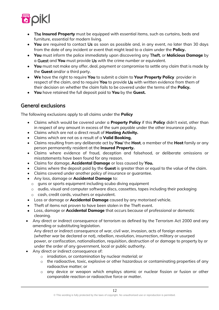

- The **Insured Property** must be equipped with essential items, such as curtains, beds and furniture, essential for modern living.
- **You** are required to contact Us as soon as possible and, in any event, no later than 30 days from the date of any incident or event that might lead to a claim under the **Policy.**
- **You** must inform the police immediately upon discovering any Theft, or **Malicious Damage** by a Guest and **You** must provide Us with the crime number or equivalent.
- **You** must not make any offer, deal, payment or compromise to settle any claim that is made by the **Guest** and/or a third party.
- **We** have the right to require **You** to submit a claim to **Your Property Policy** provider in respect of the claim, and to require **You** to provide Us with written evidence from them of their decision on whether the claim fails to be covered under the terms of the **Policy.**
- **You** have retained the full deposit paid to **You** by the **Guest.**

# General exclusions

The following exclusions apply to all claims under the **Policy**

- Claims which would be covered under a **Property Policy** if this **Policy** didn't exist, other than in respect of any amount in excess of the sum payable under the other insurance policy.
- Claims which are not a direct result of **Hosting Activity.**
- Claims which are not as a result of a **Valid Booking**.
- Claims resulting from any deliberate act by **You**/ the **Host**, a member of the **Host** family or any person permanently resident at the **Insured Property.**
- Claims where evidence of fraud, deception and falsehood, or deliberate omissions or misstatements have been found for any reason.
- Claims for damage, **Accidental Damage** or loss caused by **You.**
- Claims where the deposit paid by the **Guest** is greater than or equal to the value of the claim.
- Claims covered under another policy of insurance or guarantee.
- Any loss, damage or **Accidental Damage** to:
	- o guns or sports equipment including scuba diving equipment
	- o audio, visual and computer software discs, cassettes, tapes including their packaging o cash, credit cards, vouchers or equivalent.
- Loss or damage or **Accidental Damage** caused by any motorised vehicle.
- Theft of items not proven to have been stolen in the Theft event.
- Loss, damage or **Accidental Damage** that occurs because of professional or domestic cleaning.
- Any direct or indirect consequence of terrorism as defined by the Terrorism Act 2000 and any amending or substituting legislation.

Any direct or indirect consequence of war, civil war, invasion, acts of foreign enemies (whether war be declared or not), rebellion, revolution, insurrection, military or usurped power, or confiscation, nationalisation, requisition, destruction of or damage to property by or under the order of any government, local or public authority.

- Any direct or indirect consequence of:
	- o irradiation, or contamination by nuclear material; or
	- $\circ$  the radioactive, toxic, explosive or other hazardous or contaminating properties of any radioactive matter; or
	- o any device or weapon which employs atomic or nuclear fission or fusion or other comparable reaction or radioactive force or matter.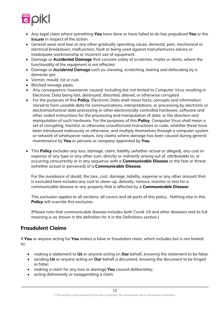

- Any legal claim where something **You** have done or have failed to do has prejudiced **You** or the Insurer in respect of the action.
- General wear and tear or any other gradually operating cause, domestic pets, mechanical or electrical breakdown, malfunction, fault or being used against manufacturers advice or inadequate workmanship or incorrect use of equipment.
- Damage or **Accidental Damage** that consists solely of scratches, marks or dents, where the functionality of the equipment is not affected
- Damage or Accidental Damage such as chewing, scratching, tearing and defecating by a domestic pet.
- Vermin, mould, rot or rust.
- Blocked sewage pipes.
- Any consequence, howsoever caused, including but not limited to Computer Virus resulting in Electronic Data being lost, destroyed, distorted, altered, or otherwise corrupted
- For the purposes of this **Policy**, Electronic Data shall mean facts, concepts and information stored to form useable data for communications, interpretations, or processing by electronic or electromechanical data processing or other electronically controlled hardware, software and other coded instructions for the processing and manipulation of data, or the direction and manipulation of such hardware. For the purposes of this **Policy**, Computer Virus shall mean a set of corrupting, harmful, or otherwise unauthorised instructions or code, whether these have been introduced maliciously or otherwise, and multiply themselves through a computer system or network of whatsoever nature. Any claims where damage has been caused during general maintenance by **You** or persons or company appointed by **You.**
- This **Policy** excludes any loss, damage, claim, liability (whether actual or alleged), any cost or expense of any type or any other sum, directly or indirectly arising out of, attributable to, or occurring concurrently or in any sequence with a **Communicable Disease** or the fear or threat (whether actual or perceived) of a **Communicable Disease**.

For the avoidance of doubt, the loss, cost, damage, liability, expense or any other amount that is excluded here includes any cost to clean-up, detoxify, remove, monitor or test for a communicable disease or any property that is affected by a **Communicable Disease**.

This exclusion applies to all sections, all covers and all parts of this policy. Nothing else in this **Policy** will override this exclusion.

(Please note that communicable disease includes both Covid-19 and other diseases and its full meaning is as shown in the definition for it in the Definitions section.)

### **Fraudulent Claims**

If **You** or anyone acting for **You** makes a false or fraudulent claim, which includes but is not limited to;

- making a statement to **Us** or anyone acting on **Our** behalf, knowing the statement to be false;
- sending **Us** or anyone acting on **Our** behalf a document, knowing the document to be forged or false;
- making a claim for any loss or damage **You** caused deliberately;
- acting dishonestly or exaggerating a claim.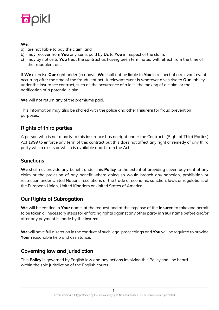

#### **We**;

- a) are not liable to pay the claim: and
- b) may recover from **You** any sums paid by **Us** to **You** in respect of the claim;
- c) may by notice to **You** treat the contract as having been terminated with effect from the time of the fraudulent act.

If **We** exercise **Our** right under (c) above, **We** shall not be liable to **You** in respect of a relevant event occurring after the time of the fraudulent act. A relevant event is whatever gives rise to **Our** liability under the insurance contract, such as the occurrence of a loss, the making of a claim, or the notification of a potential claim.

**We** will not return any of the premiums paid.

This Information may also be shared with the police and other **Insurers** for fraud prevention purposes.

# Rights of third parties

A person who is not a party to this insurance has no right under the Contracts (Right of Third Parties) Act 1999 to enforce any term of this contract but this does not affect any right or remedy of any third party which exists or which is available apart from the Act.

# **Sanctions**

**We** shall not provide any benefit under this **Policy** to the extent of providing cover, payment of any claim or the provision of any benefit where doing so would breach any sanction, prohibition or restriction under United Nations resolutions or the trade or economic sanction, laws or regulations of the European Union, United Kingdom or United States of America.

# Our Rights of Subrogation

**We** will be entitled in **Your** name, at the request and at the expense of the **Insurer**, to take and permit to be taken all necessary steps for enforcing rights against any other party in **Your** name before and/or after any payment is made by the **Insurer.** 

**We** will have full discretion in the conduct of such legal proceedings and **You** will be required to provide **Your** reasonable help and assistance.

# Governing law and jurisdiction

This **Policy** is governed by English law and any actions involving this Policy shall be heard within the sole jurisdiction of the English courts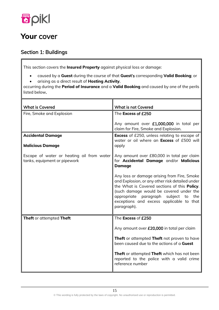

# **Your** cover

# Section 1: Buildings

This section covers the **Insured Property** against physical loss or damage:

- caused by a **Guest** during the course of that **Guest**'s corresponding **Valid Booking**; or
- arising as a direct result of **Hosting Activity**,

occurring during the **Period of Insurance** and a **Valid Booking** and caused by one of the perils listed below.

| <b>What is Covered</b>                                                    | <b>What is not Covered</b>                                                                                                                                                                                                                                                                      |
|---------------------------------------------------------------------------|-------------------------------------------------------------------------------------------------------------------------------------------------------------------------------------------------------------------------------------------------------------------------------------------------|
| Fire, Smoke and Explosion                                                 | The Excess of £250                                                                                                                                                                                                                                                                              |
|                                                                           | Any amount over £1,000,000 in total per<br>claim for Fire, Smoke and Explosion.                                                                                                                                                                                                                 |
| <b>Accidental Damage</b><br><b>Malicious Damage</b>                       | <b>Excess</b> of £250, unless relating to escape of<br>water or oil where an <b>Excess</b> of £500 will                                                                                                                                                                                         |
|                                                                           | apply                                                                                                                                                                                                                                                                                           |
| Escape of water or heating oil from water<br>tanks, equipment or pipework | Any amount over £80,000 in total per claim<br>for Accidental Damage and/or Malicious<br><b>Damage</b>                                                                                                                                                                                           |
|                                                                           | Any loss or damage arising from Fire, Smoke<br>and Explosion, or any other risk detailed under<br>the What is Covered sections of this Policy.<br>(such damage would be covered under the<br>appropriate paragraph subject to<br>the<br>exceptions and excess applicable to that<br>paragraph). |
| <b>Theft</b> or attempted Theft                                           | The Excess of £250                                                                                                                                                                                                                                                                              |
|                                                                           | Any amount over £20,000 in total per claim                                                                                                                                                                                                                                                      |
|                                                                           | Theft or attempted Theft not proven to have<br>been caused due to the actions of a Guest                                                                                                                                                                                                        |
|                                                                           | <b>Theft</b> or attempted Theft which has not been<br>reported to the police with a valid crime<br>reference number                                                                                                                                                                             |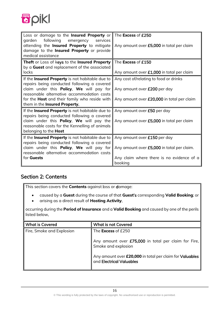

| Loss or damage to the Insured Property or<br>following emergency<br>garden<br>services<br>attending the <b>Insured Property</b> to mitigate<br>damage to the Insured Property or provide<br>medical assistance                                                                    | The Excess of £250<br>Any amount over £5,000 in total per claim                                                                    |
|-----------------------------------------------------------------------------------------------------------------------------------------------------------------------------------------------------------------------------------------------------------------------------------|------------------------------------------------------------------------------------------------------------------------------------|
| <b>Theft</b> or Loss of keys to the <b>Insured Property</b><br>by a Guest and replacement of the associated<br>locks                                                                                                                                                              | The Excess of £150<br>Any amount over £1,000 in total per claim                                                                    |
| If the Insured Property is not habitable due to<br>repairs being conducted following a covered<br>claim under this Policy, We will pay for<br>reasonable alternative accommodation costs<br>for the <b>Host</b> and their family who reside with<br>them in the Insured Property. | Any cost of/relating to food or drinks<br>Any amount over £200 per day<br>Any amount over £20,000 in total per claim               |
| If the Insured Property is not habitable due to<br>repairs being conducted following a covered<br>claim under this <b>Policy</b> , We will pay the<br>reasonable costs for the Kennelling of animals<br>belonging to the Host                                                     | Any amount over £50 per day<br>Any amount over £5,000 in total per claim                                                           |
| If the Insured Property is not habitable due to<br>repairs being conducted following a covered<br>claim under this <b>Policy</b> , We will pay for<br>reasonable alternative accommodation costs<br>for <b>Guests</b>                                                             | Any amount over £150 per day<br>Any amount over £5,000 in total per claim.<br>Any claim where there is no evidence of a<br>booking |

# Section 2: Contents

This section covers the **Contents** against loss or damage:

- caused by a **Guest** during the course of that **Guest**'s corresponding **Valid Booking**; or
- arising as a direct result of **Hosting Activity**,

occurring during the **Period of Insurance** and a **Valid Booking** and caused by one of the perils listed below.

| <b>What is Covered</b>    | <b>What is not Covered</b>                                                           |
|---------------------------|--------------------------------------------------------------------------------------|
| Fire, Smoke and Explosion | The <b>Excess</b> of £250                                                            |
|                           | Any amount over £75,000 in total per claim for Fire,<br>Smoke and explosion          |
|                           | Any amount over £20,000 in total per claim for Valuables<br>and Electrical Valuables |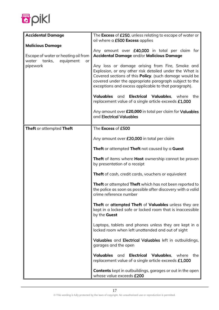

| <b>Accidental Damage</b>                                                  | The <b>Excess</b> of £250, unless relating to escape of water or                                                                                                                                                                                                                       |
|---------------------------------------------------------------------------|----------------------------------------------------------------------------------------------------------------------------------------------------------------------------------------------------------------------------------------------------------------------------------------|
|                                                                           | oil where a £500 Excess applies                                                                                                                                                                                                                                                        |
| <b>Malicious Damage</b>                                                   | Any amount over £40,000 in total per claim for                                                                                                                                                                                                                                         |
| Escape of water or heating oil from<br>equipment<br>water<br>tanks,<br>or | Accidental Damage and/or Malicious Damage                                                                                                                                                                                                                                              |
| pipework                                                                  | Any loss or damage arising from Fire, Smoke and<br>Explosion, or any other risk detailed under the What is<br>Covered sections of this Policy. (such damage would be<br>covered under the appropriate paragraph subject to the<br>exceptions and excess applicable to that paragraph). |
|                                                                           | <b>Valuables</b><br>and <b>Electrical Valuables</b> , where the<br>replacement value of a single article exceeds £1,000                                                                                                                                                                |
|                                                                           | Any amount over £20,000 in total per claim for Valuables<br>and Electrical Valuables                                                                                                                                                                                                   |
| <b>Theft</b> or attempted Theft                                           | The Excess of £500                                                                                                                                                                                                                                                                     |
|                                                                           | Any amount over £20,000 in total per claim                                                                                                                                                                                                                                             |
|                                                                           | Theft or attempted Theft not caused by a Guest                                                                                                                                                                                                                                         |
|                                                                           | Theft of items where Host ownership cannot be proven<br>by presentation of a receipt                                                                                                                                                                                                   |
|                                                                           | <b>Theft</b> of cash, credit cards, vouchers or equivalent                                                                                                                                                                                                                             |
|                                                                           | Theft or attempted Theft which has not been reported to<br>the police as soon as possible after discovery with a valid<br>crime reference number                                                                                                                                       |
|                                                                           | Theft or attempted Theft of Valuables unless they are<br>kept in a locked safe or locked room that is inaccessible<br>by the <b>Guest</b>                                                                                                                                              |
|                                                                           | Laptops, tablets and phones unless they are kept in a<br>locked room when left unattended and out of sight                                                                                                                                                                             |
|                                                                           | Valuables and Electrical Valuables left in outbuildings,<br>garages and the open                                                                                                                                                                                                       |
|                                                                           | <b>Valuables</b><br><b>Electrical</b><br>Valuables.<br>and<br>where<br>the<br>replacement value of a single article exceeds £1,000                                                                                                                                                     |
|                                                                           | <b>Contents</b> kept in outbuildings, garages or out in the open<br>whose value exceeds £200                                                                                                                                                                                           |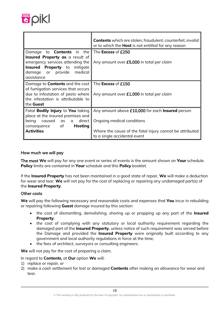

|                                                                                                                                                       | <b>Contents</b> which are stolen, fraudulent, counterfeit, invalid<br>or to which the <b>Host</b> is not entitled for any reason |
|-------------------------------------------------------------------------------------------------------------------------------------------------------|----------------------------------------------------------------------------------------------------------------------------------|
| to <b>Contents</b> in the<br>Damage                                                                                                                   | The <b>Excess</b> of £250                                                                                                        |
| Insured Property as a result of<br>emergency services attending the<br><b>Insured Property</b> to mitigate<br>damage or provide medical<br>assistance | Any amount over £5,000 in total per claim                                                                                        |
| Damage to <b>Contents</b> and the cost                                                                                                                | The <b>Excess</b> of £150                                                                                                        |
| of fumigation services that occurs<br>due to infestation of pests where<br>the infestation is attributable to<br>the <b>Guest</b>                     | Any amount over £1,000 in total per claim                                                                                        |
| Fatal <b>Bodily Injury</b> to You taking                                                                                                              | Any amount above £10,000 for each <b>Insured</b> person                                                                          |
| place at the insured premises and<br>being caused as a direct<br>consequence of <b>Hosting</b>                                                        | Ongoing medical conditions                                                                                                       |
| <b>Activities</b>                                                                                                                                     | Where the cause of the fatal injury cannot be attributed<br>to a single accidental event                                         |

#### How much we will pay

The most **We** will pay for any one event or series of events is the amount shown on **Your** schedule. **Policy** limits are contained in **Your** schedule and this **Policy** booklet.

If the **Insured Property** has not been maintained in a good state of repair, **We** will make a deduction for wear and tear. **We** will not pay for the cost of replacing or repairing any undamaged part(s) of the **Insured Property**.

#### Other costs

**We** will pay the following necessary and reasonable costs and expenses that **You** incur in rebuilding or repairing following **Guest** damage insured by this section:

- the cost of dismantling, demolishing, shoring up or propping up any part of the **Insured Property**;
- the cost of complying with any statutory or local authority requirement regarding the damaged part of the **Insured Property**, unless notice of such requirement was served before the Damage and provided the **Insured Property** were originally built according to any government and local authority regulations in force at the time;
- the fees of architect, surveyors or consulting engineers.

**We** will not pay for the cost of preparing a claim.

In regard to **Contents**, at **Our** option **We** will:

- 1) replace or repair, or
- 2) make a cash settlement for lost or damaged **Contents** after making an allowance for wear and tear.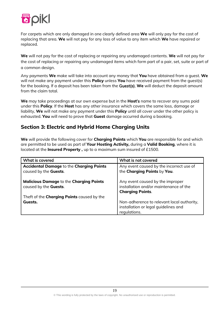

For carpets which are only damaged in one clearly defined area **We** will only pay for the cost of replacing that area. **We** will not pay for any loss of value to any item which **We** have repaired or replaced.

**We** will not pay for the cost of replacing or repairing any undamaged contents. **We** will not pay for the cost of replacing or repairing any undamaged items which form part of a pair, set, suite or part of a common design.

Any payments **We** make will take into account any money that **You** have obtained from a guest. **We** will not make any payment under this **Policy** unless **You** have received payment from the guest(s) for the booking. If a deposit has been taken from the Guest(s), **We** will deduct the deposit amount from the claim total.

**We** may take proceedings at our own expense but in the **Host**'s name to recover any sums paid under this **Policy**. If the **Host** has any other insurance which covers the same loss, damage or liability, **We** will not make any payment under this **Policy** until all cover under the other policy is exhausted. **You** will need to prove that **Guest** damage occurred during a booking.

## **Section 3: Electric and Hybrid Home Charging Units**

**We** will provide the following cover for **Charging Points** which **You** are responsible for and which are permitted to be used as part of **Your Hosting Activity,** during a **Valid Booking**, where it is located at the **Insured Property ,** up to a maximum sum insured of £1500.

| What is covered                                                                 | What is not covered                                                                                   |
|---------------------------------------------------------------------------------|-------------------------------------------------------------------------------------------------------|
| <b>Accidental Damage to the Charging Points</b><br>caused by the Guests.        | Any event caused by the incorrect use of<br>the Charging Points by You.                               |
| <b>Malicious Damage to the Charging Points</b><br>caused by the <b>Guests</b> . | Any event caused by the improper<br>installation and/or maintenance of the<br><b>Charging Points.</b> |
| Theft of the <b>Charging Points</b> caused by the                               |                                                                                                       |
| Guests.                                                                         | Non-adherence to relevant local authority,<br>installation or legal quidelines and<br>regulations.    |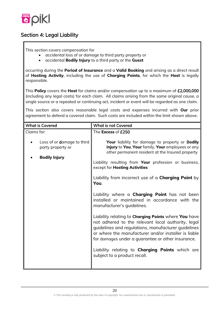

# Section 4: Legal Liability

This section covers compensation for

- accidental loss of or damage to third party property or
- accidental **Bodily Injury** to a third party or the **Guest**

occurring during the **Period of Insurance** and a **Valid Booking** and arising as a direct result of **Hosting Activity**, including the use of **Charging Points**, for which the **Host** is legally responsible.

This **Policy** covers the **Host** for claims and/or compensation up to a maximum of £2,000,000 (including any legal costs) for each claim. All claims arising from the same original cause, a single source or a repeated or continuing act, incident or event will be regarded as one claim.

This section also covers reasonable legal costs and expenses incurred with **Our** prior agreement to defend a covered claim. Such costs are included within the limit shown above.

| <b>What is not Covered</b>                                                                                                                                                                                                                                                                                                                                                                                                                                                                                                                                                                                                                                                                                                                                                                                                                                 |
|------------------------------------------------------------------------------------------------------------------------------------------------------------------------------------------------------------------------------------------------------------------------------------------------------------------------------------------------------------------------------------------------------------------------------------------------------------------------------------------------------------------------------------------------------------------------------------------------------------------------------------------------------------------------------------------------------------------------------------------------------------------------------------------------------------------------------------------------------------|
| The Excess of £250                                                                                                                                                                                                                                                                                                                                                                                                                                                                                                                                                                                                                                                                                                                                                                                                                                         |
| Your liability for damage to property or Bodily<br>injury to You, Your family, Your employees or any<br>other permanent resident at the Insured property<br>Liability resulting from Your profession or business,<br>except for Hosting Activities<br>Liability from incorrect use of a <b>Charging Point</b> by<br>You.<br>Liability where a <b>Charging Point</b> has not been<br>installed or maintained in accordance with the<br>manufacturer's guidelines.<br>Liability relating to <b>Charging Points</b> where <b>You</b> have<br>not adhered to the relevant local authority, legal<br>guidelines and regulations, manufacturer guidelines<br>or where the manufacturer and/or installer is liable<br>for damages under a guarantee or other insurance.<br>Liability relating to <b>Charging Points</b> which are<br>subject to a product recall. |
|                                                                                                                                                                                                                                                                                                                                                                                                                                                                                                                                                                                                                                                                                                                                                                                                                                                            |

20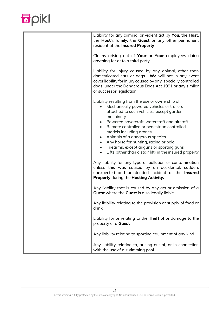

| Liability for any criminal or violent act by You, the Host,<br>the Host's family, the Guest or any other permanent<br>resident at the Insured Property                                                                                                                                                                                                                                                                                                                                                                 |
|------------------------------------------------------------------------------------------------------------------------------------------------------------------------------------------------------------------------------------------------------------------------------------------------------------------------------------------------------------------------------------------------------------------------------------------------------------------------------------------------------------------------|
| Claims arising out of Your or Your employees doing<br>anything for or to a third party                                                                                                                                                                                                                                                                                                                                                                                                                                 |
| Liability for injury caused by any animal, other than<br>domesticated cats or dogs. We will not in any event<br>cover liability for injury caused by any 'specially controlled<br>dogs' under the Dangerous Dogs Act 1991 or any similar<br>or successor legislation                                                                                                                                                                                                                                                   |
| Liability resulting from the use or ownership of:<br>Mechanically powered vehicles or trailers<br>$\bullet$<br>attached to such vehicles, except garden<br>machinery<br>Powered hovercraft, watercraft and aircraft<br>Remote controlled or pedestrian controlled<br>models including drones<br>Animals of a dangerous species<br>$\bullet$<br>Any horse for hunting, racing or polo<br>$\bullet$<br>Firearms, except airguns or sporting guns<br>$\bullet$<br>Lifts (other than a stair lift) in the insured property |
| Any liability for any type of pollution or contamination<br>unless this was caused by an accidental, sudden,<br>unexpected and unintended incident at the Insured<br>Property during the Hosting Activity.                                                                                                                                                                                                                                                                                                             |
| Any liability that is caused by any act or omission of a<br><b>Guest</b> where the <b>Guest</b> is also legally liable                                                                                                                                                                                                                                                                                                                                                                                                 |
| Any liability relating to the provision or supply of food or<br>drink                                                                                                                                                                                                                                                                                                                                                                                                                                                  |
| Liability for or relating to the Theft of or damage to the<br>property of a Guest                                                                                                                                                                                                                                                                                                                                                                                                                                      |
| Any liability relating to sporting equipment of any kind                                                                                                                                                                                                                                                                                                                                                                                                                                                               |
| Any liability relating to, arising out of, or in connection<br>with the use of a swimming pool.                                                                                                                                                                                                                                                                                                                                                                                                                        |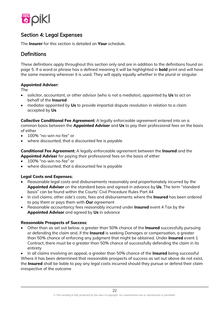

# Section 4: Legal Expenses

The **Insurer** for this section is detailed on **Your** schedule.

# **Definitions**

These definitions apply throughout this section only and are in addition to the definitions found on page 5. If a word or phrase has a defined meaning it will be highlighted in **bold** print and will have the same meaning wherever it is used. They will apply equally whether in the plural or singular.

#### **Appointed Adviser**:

The

- solicitor, accountant, or other advisor (who is not a mediator), appointed by **Us** to act on behalf of the **Insured**
- mediator appointed by **Us** to provide impartial dispute resolution in relation to a claim accepted by **Us**

**Collective Conditional Fee Agreement**: A legally enforceable agreement entered into on a common basis between the **Appointed Adviser** and **Us** to pay their professional fees on the basis of either

- 100% "no-win no-fee" or
- where discounted, that a discounted fee is payable

**Conditional Fee Agreement**: A legally enforceable agreement between the **Insured** and the **Appointed Adviser** for paying their professional fees on the basis of either

- 100% "no-win no-fee" or
- where discounted, that a discounted fee is payable

#### **Legal Costs and Expenses**:

- Reasonable legal costs and disbursements reasonably and proportionately incurred by the **Appointed Adviser** on the standard basis and agreed in advance by **Us**. The term "standard basis" can be found within the Courts' Civil Procedure Rules Part 44
- In civil claims, other side's costs, fees and disbursements where the **Insured** has been ordered to pay them or pays them with **Our** agreement
- Reasonable accountancy fees reasonably incurred under **Insured** event 4 Tax by the **Appointed Advisor** and agreed by **Us** in advance

#### **Reasonable Prospects of Success**:

• Other than as set out below, a greater than 50% chance of the **Insured** successfully pursuing or defending the claim and, if the **Insured** is seeking Damages or compensation, a greater than 50% chance of enforcing any judgment that might be obtained. Under **Insured** event 1 Contract, there must be a greater than 50% chance of successfully defending the claim in its entirety

• In all claims involving an appeal, a greater than 50% chance of the **Insured** being successful Where it has been determined that reasonable prospects of success as set out above do not exist, the **Insured** shall be liable to pay any legal costs incurred should they pursue or defend their claim irrespective of the outcome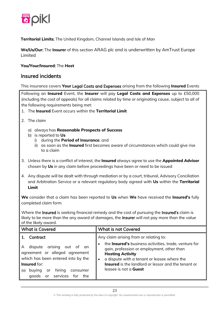

**Territorial Limits**: The United Kingdom, Channel Islands and Isle of Man

**We**/**Us**/**Our**: The **Insurer** of this section ARAG plc and is underwritten by AmTrust Europe Limited

#### **You/Your/Insured**: The **Host**

#### Insured incidents

This insurance covers **Your** Legal Costs and Expenses arising from the following **Insured** Events

Following an **Insured** Event, the **Insurer** will pay **Legal Costs and Expenses** up to £50,000 (including the cost of appeals) for all claims related by time or originating cause, subject to all of the following requirements being met:

- 1. The **Insured** Event occurs within the **Territorial Limit**
- 2. The claim
	- a) always has **Reasonable Prospects of Success**
	- b) is reported to **Us**
		- i) during the **Period of Insurance**; and
		- ii) as soon as the **Insured** first becomes aware of circumstances which could give rise to a claim
- 3. Unless there is a conflict of interest, the **Insured** always agree to use the **Appointed Advisor** chosen by **Us** in any claim before proceedings have been or need to be issued
- 4. Any dispute will be dealt with through mediation or by a court, tribunal, Advisory Conciliation and Arbitration Service or a relevant regulatory body agreed with **Us** within the **Territorial Limit**

**We** consider that a claim has been reported to **Us** when **We** have received the **Insured's** fully completed claim form

Where the Insured is seeking financial remedy and the cost of pursuing the Insured's claim is likely to be more than the any award of damages, the **Insurer** will not pay more than the value of the likely award.

| <b>What is Covered</b>                                                                                                                                                                                           | <b>What is not Covered</b>                                                                                                                                                                                                                                                                                                         |
|------------------------------------------------------------------------------------------------------------------------------------------------------------------------------------------------------------------|------------------------------------------------------------------------------------------------------------------------------------------------------------------------------------------------------------------------------------------------------------------------------------------------------------------------------------|
| Contract<br>A dispute arising out of an<br>agreement or alleged agreement<br>which has been entered into by the<br><b>Insured</b> for:<br>hiring<br>consumer<br>buying<br>or<br>(a)<br>goods or services for the | Any claim arising from or relating to:<br>the Insured's business activities, trade, venture for<br>$\bullet$<br>gain, profession or employment, other than<br><b>Hosting Activity</b><br>a dispute with a tenant or leasee where the<br><b>Insured</b> is the landlord or lessor and the tenant or<br>leasee is not a <b>Guest</b> |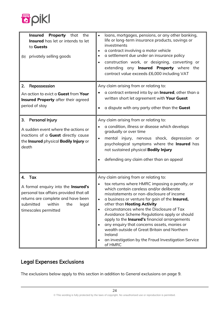

| <b>Property</b> that the<br><b>Insured</b><br><b>Insured</b> has let or intends to let<br>to Guests<br>(b) privately selling goods                                                           | loans, mortgages, pensions, or any other banking,<br>life or long-term insurance products, savings or<br>investments<br>a contract involving a motor vehicle<br>a settlement due under an insurance policy<br>construction work, or designing, converting or<br>extending any <b>Insured Property</b> where the<br>contract value exceeds £6,000 including VAT                                                                                                                                                                                                                                                          |
|----------------------------------------------------------------------------------------------------------------------------------------------------------------------------------------------|-------------------------------------------------------------------------------------------------------------------------------------------------------------------------------------------------------------------------------------------------------------------------------------------------------------------------------------------------------------------------------------------------------------------------------------------------------------------------------------------------------------------------------------------------------------------------------------------------------------------------|
| 2.<br>Repossession<br>An action to evict a Guest from Your<br>Insured Property after their agreed<br>period of stay                                                                          | Any claim arising from or relating to:<br>a contract entered into by an Insured, other than a<br>written short let agreement with Your Guest<br>a dispute with any party other than the Guest                                                                                                                                                                                                                                                                                                                                                                                                                           |
| 3.<br>Personal Injury<br>A sudden event where the actions or<br>inactions of a Guest directly cause<br>the Insured physical Bodily Injury or<br>death                                        | Any claim arising from or relating to:<br>a condition, illness or disease which develops<br>gradually or over time<br>mental injury, nervous shock, depression or<br>psychological symptoms where the Insured has<br>not sustained physical <b>Bodily Injury</b><br>defending any claim other than an appeal                                                                                                                                                                                                                                                                                                            |
| 4. Tax<br>A formal enquiry into the Insured's<br>personal tax affairs provided that all<br>returns are complete and have been<br>submitted<br>within<br>the<br>legal<br>timescales permitted | Any claim arising from or relating to:<br>tax returns where HMRC imposing a penalty, or<br>which contain careless and/or deliberate<br>misstatements or non-disclosure of income<br>a business or venture for gain of the <b>Insured</b> ,<br>other than Hosting Activity<br>circumstances where the Disclosure of Tax<br>$\bullet$<br>Avoidance Scheme Regulations apply or should<br>apply to the <b>Insured's</b> financial arrangements<br>any enquiry that concerns assets, monies or<br>wealth outside of Great Britain and Northern<br>Ireland<br>an investigation by the Fraud Investigation Service<br>of HMRC |

# Legal Expenses Exclusions

The exclusions below apply to this section in addition to General exclusions on page 9.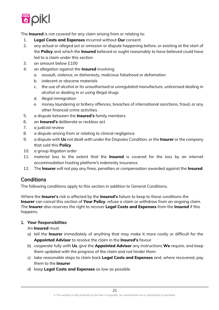

The **Insured** is not covered for any claim arising from or relating to:

- 1. **Legal Costs and Expenses** incurred without **Our** consent
- 2. any actual or alleged act or omission or dispute happening before, or existing at the start of the **Policy** and which the **Insured** believed or ought reasonably to have believed could have led to a claim under this section
- 3. an amount below £100
- 4. an allegation against the **Insured** involving:
	- a. assault, violence, or dishonesty, malicious falsehood or defamation
	- b. indecent or obscene materials
	- c. the use of alcohol or its unauthorised or unregulated manufacture, unlicensed dealing in alcohol or dealing in or using illegal drugs
	- d. illegal immigration
	- e. money laundering or bribery offences, breaches of international sanctions, fraud, or any other financial crime activities
- 5. a dispute between the **Insured's** family members
- 6. an **Insured's** deliberate or reckless act
- 7. a judicial review
- 8. a dispute arising from or relating to clinical negligence
- 9. a dispute with **Us** not dealt with under the Disputes Condition, or the **Insurer** or the company that sold this **Policy**
- 10. a group litigation order
- 11. material loss to the extent that the **Insured** is covered for the loss by an internet accommodation hosting platform's indemnity insurance
- 12. The **Insurer** will not pay any fines, penalties or compensation awarded against the **Insured**.

#### **Conditions**

The following conditions apply to this section in addition to General Conditions.

Where the **Insurer**'s risk is affected by the **Insured's** failure to keep to these conditions the **Insurer** can cancel this section of **Your Policy**, refuse a claim or withdraw from an ongoing claim. The **Insurer** also reserves the right to recover **Legal Costs and Expenses** from the **Insured** if this happens.

#### 1. **Your** Responsibilities

An **Insured** must

- a) tell the **Insurer** immediately of anything that may make it more costly or difficult for the **Appointed Advisor** to resolve the claim in the **Insured's** favour
- b) cooperate fully with **Us**, give the **Appointed Advisor** any instructions **We** require, and keep them updated with the progress of the claim and not hinder them
- c) take reasonable steps to claim back **Legal Costs and Expenses** and, where recovered, pay them to the **Insurer**
- d) keep **Legal Costs and Expenses** as low as possible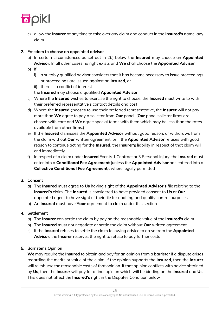

e) allow the **Insurer** at any time to take over any claim and conduct in the **Insured's** name, any claim

#### 2. Freedom to choose an appointed advisor

- a) In certain circumstances as set out in 2b) below the **Insured** may choose an **Appointed Advisor**. In all other cases no right exists and **We** shall choose the **Appointed Advisor**
- b) If
	- i) a suitably qualified advisor considers that it has become necessary to issue proceedings or proceedings are issued against an **Insured**, or
	- ii) there is a conflict of interest

the **Insured** may choose a qualified **Appointed Advisor**

- c) Where the **Insured** wishes to exercise the right to choose, the **Insured** must write to with their preferred representative's contact details and cost
- d) Where the **Insured** chooses to use their preferred representative, the **Insurer** will not pay more than **We** agree to pay a solicitor from **Our** panel. (**Our** panel solicitor firms are chosen with care and **We** agree special terms with them which may be less than the rates available from other firms.)
- e) If the **Insured** dismisses the **Appointed Advisor** without good reason, or withdraws from the claim without **Our** written agreement, or if the **Appointed Advisor** refuses with good reason to continue acting for the **Insured**, the **Insurer**'s liability in respect of that claim will end immediately
- f) In respect of a claim under **Insured** Events 1 Contract or 3 Personal Injury, the **Insured** must enter into a **Conditional Fee Agreement** (unless the **Appointed Advisor** has entered into a **Collective Conditional Fee Agreement**), where legally permitted

#### 3. Consent

- a) The **Insured** must agree to **Us** having sight of the **Appointed Advisor's** file relating to the **Insured's** claim. The **Insured** is considered to have provided consent to **Us** or **Our** appointed agent to have sight of their file for auditing and quality control purposes
- b) An **Insured** must have **Your** agreement to claim under this section

#### 4. Settlement

- a) The **Insurer** can settle the claim by paying the reasonable value of the **Insured's** claim
- b) The **Insured** must not negotiate or settle the claim without **Our** written agreement
- c) If the **Insured** refuses to settle the claim following advice to do so from the **Appointed Advisor**, the **Insurer** reserves the right to refuse to pay further costs

#### 5. Barrister's Opinion

**We** may require the **Insured** to obtain and pay for an opinion from a barrister if a dispute arises regarding the merits or value of the claim. If the opinion supports the **Insured**, then the **Insurer** will reimburse the reasonable costs of that opinion. If that opinion conflicts with advice obtained by **Us**, then the **Insurer** will pay for a final opinion which will be binding on the **Insured** and **Us**. This does not affect the **Insured's** right in the Disputes Condition below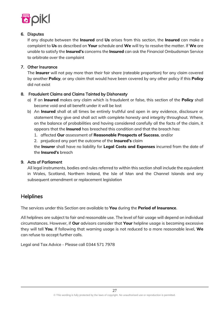

#### 6. Disputes

If any dispute between the **Insured** and **Us** arises from this section, the **Insured** can make a complaint to **Us** as described on **Your** schedule and **We** will try to resolve the matter. If **We** are unable to satisfy the **Insured's** concerns the **Insured** can ask the Financial Ombudsman Service to arbitrate over the complaint

#### 7. Other Insurance

The **Insurer** will not pay more than their fair share (rateable proportion) for any claim covered by another **Policy**, or any claim that would have been covered by any other policy if this **Policy** did not exist

#### 8. Fraudulent Claims and Claims Tainted by Dishonesty

- a) If an **Insured** makes any claim which is fraudulent or false, this section of the **Policy** shall become void and all benefit under it will be lost
- b) An **Insured** shall at all times be entirely truthful and open in any evidence, disclosure or statement they give and shall act with complete honesty and integrity throughout. Where, on the balance of probabilities and having considered carefully all the facts of the claim, it appears that the **Insured** has breached this condition and that the breach has:
	- 1. affected **Our** assessment of **Reasonable Prospects of Success**, and/or
	- 2. prejudiced any part the outcome of the **Insured's** claim

the **Insurer** shall have no liability for **Legal Costs and Expenses** incurred from the date of the **Insured's** breach

#### 9. Acts of Parliament

All legal instruments, bodies and rules referred to within this section shall include the equivalent in Wales, Scotland, Northern Ireland, the Isle of Man and the Channel Islands and any subsequent amendment or replacement legislation

### **Helplines**

The services under this Section are available to **You** during the **Period of Insurance**.

All helplines are subject to fair and reasonable use. The level of fair usage will depend on individual circumstances. However, if **Our** advisors consider that **Your** helpline usage is becoming excessive they will tell **You**. If following that warning usage is not reduced to a more reasonable level, **We** can refuse to accept further calls.

Legal and Tax Advice - Please call 0344 571 7978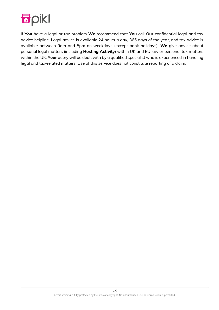

If **You** have a legal or tax problem **We** recommend that **You** call **Our** confidential legal and tax advice helpline. Legal advice is available 24 hours a day, 365 days of the year, and tax advice is available between 9am and 5pm on weekdays (except bank holidays). **We** give advice about personal legal matters (including **Hosting Activity**) within UK and EU law or personal tax matters within the UK. **Your** query will be dealt with by a qualified specialist who is experienced in handling legal and tax-related matters. Use of this service does not constitute reporting of a claim.